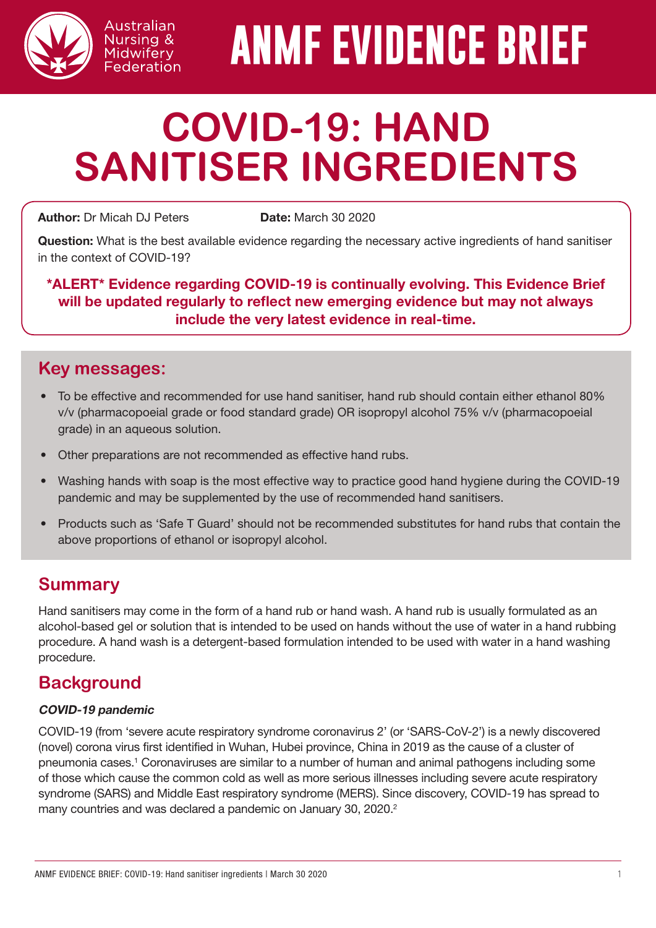

# **ANMF EVIDENCE BRIEF**

# **COVID-19: HAND SANITISER INGREDIENTS**

Author: Dr Micah DJ Peters Date: March 30 2020

Australian Nursing & Midwifery Federation

Question: What is the best available evidence regarding the necessary active ingredients of hand sanitiser in the context of COVID-19?

\*ALERT\* Evidence regarding COVID-19 is continually evolving. This Evidence Brief will be updated regularly to reflect new emerging evidence but may not always include the very latest evidence in real-time.

### **Key messages:**

- To be effective and recommended for use hand sanitiser, hand rub should contain either ethanol 80% v/v (pharmacopoeial grade or food standard grade) OR isopropyl alcohol 75% v/v (pharmacopoeial grade) in an aqueous solution.
- Other preparations are not recommended as effective hand rubs.
- Washing hands with soap is the most effective way to practice good hand hygiene during the COVID-19 pandemic and may be supplemented by the use of recommended hand sanitisers.
- Products such as 'Safe T Guard' should not be recommended substitutes for hand rubs that contain the above proportions of ethanol or isopropyl alcohol.

# **Summary**

Hand sanitisers may come in the form of a hand rub or hand wash. A hand rub is usually formulated as an alcohol-based gel or solution that is intended to be used on hands without the use of water in a hand rubbing procedure. A hand wash is a detergent-based formulation intended to be used with water in a hand washing procedure.

# **Background**

#### COVID-19 pandemic

COVID-19 (from 'severe acute respiratory syndrome coronavirus 2' (or 'SARS-CoV-2') is a newly discovered (novel) corona virus first identified in Wuhan, Hubei province, China in 2019 as the cause of a cluster of pneumonia cases.<sup>1</sup> Coronaviruses are similar to a number of human and animal pathogens including some of those which cause the common cold as well as more serious illnesses including severe acute respiratory syndrome (SARS) and Middle East respiratory syndrome (MERS). Since discovery, COVID-19 has spread to many countries and was declared a pandemic on January 30, 2020.<sup>2</sup>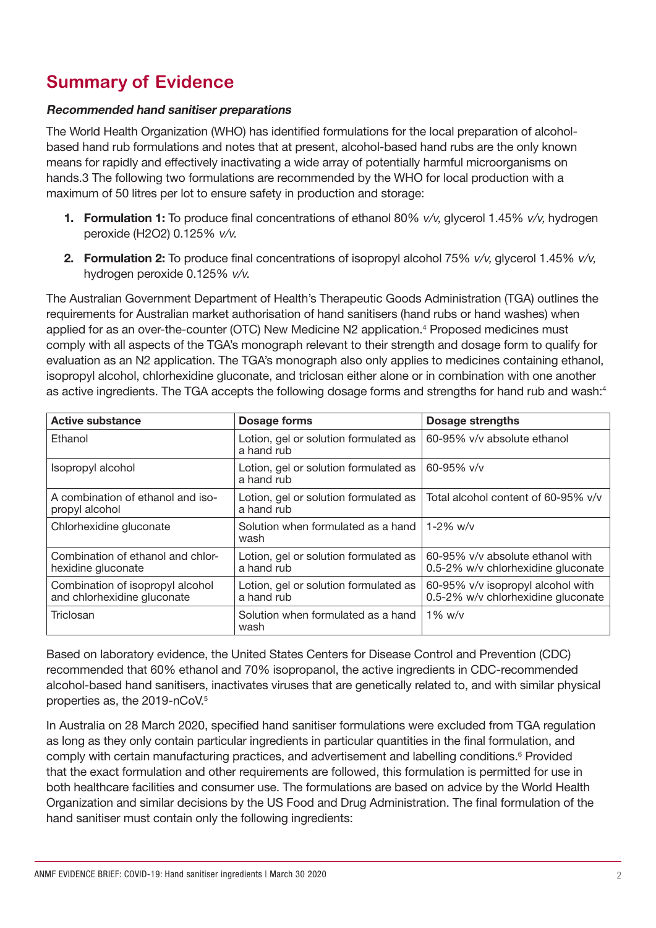# **Summary of Evidence**

#### Recommended hand sanitiser preparations

The World Health Organization (WHO) has identified formulations for the local preparation of alcoholbased hand rub formulations and notes that at present, alcohol-based hand rubs are the only known means for rapidly and effectively inactivating a wide array of potentially harmful microorganisms on hands.3 The following two formulations are recommended by the WHO for local production with a maximum of 50 litres per lot to ensure safety in production and storage:

- **1. Formulation 1:** To produce final concentrations of ethanol 80%  $v/v$ , glycerol 1.45%  $v/v$ , hydrogen peroxide (H2O2) 0.125% v/v.
- 2. Formulation 2: To produce final concentrations of isopropyl alcohol 75%  $v/v$ , glycerol 1.45%  $v/v$ , hydrogen peroxide 0.125% v/v.

The Australian Government Department of Health's Therapeutic Goods Administration (TGA) outlines the requirements for Australian market authorisation of hand sanitisers (hand rubs or hand washes) when applied for as an over-the-counter (OTC) New Medicine N2 application.<sup>4</sup> Proposed medicines must comply with all aspects of the TGA's monograph relevant to their strength and dosage form to qualify for evaluation as an N2 application. The TGA's monograph also only applies to medicines containing ethanol, isopropyl alcohol, chlorhexidine gluconate, and triclosan either alone or in combination with one another as active ingredients. The TGA accepts the following dosage forms and strengths for hand rub and wash:4

| <b>Active substance</b>                                         | Dosage forms                                        | Dosage strengths                                                        |
|-----------------------------------------------------------------|-----------------------------------------------------|-------------------------------------------------------------------------|
| Ethanol                                                         | Lotion, gel or solution formulated as<br>a hand rub | 60-95% v/v absolute ethanol                                             |
| Isopropyl alcohol                                               | Lotion, gel or solution formulated as<br>a hand rub | 60-95% $v/v$                                                            |
| A combination of ethanol and iso-<br>propyl alcohol             | Lotion, gel or solution formulated as<br>a hand rub | Total alcohol content of 60-95% v/v                                     |
| Chlorhexidine gluconate                                         | Solution when formulated as a hand<br>wash          | $1-2\%$ w/v                                                             |
| Combination of ethanol and chlor-<br>hexidine gluconate         | Lotion, gel or solution formulated as<br>a hand rub | 60-95% v/v absolute ethanol with<br>0.5-2% w/v chlorhexidine gluconate  |
| Combination of isopropyl alcohol<br>and chlorhexidine gluconate | Lotion, gel or solution formulated as<br>a hand rub | 60-95% v/v isopropyl alcohol with<br>0.5-2% w/v chlorhexidine gluconate |
| Triclosan                                                       | Solution when formulated as a hand<br>wash          | $1\%$ w/v                                                               |

Based on laboratory evidence, the United States Centers for Disease Control and Prevention (CDC) recommended that 60% ethanol and 70% isopropanol, the active ingredients in CDC-recommended alcohol-based hand sanitisers, inactivates viruses that are genetically related to, and with similar physical properties as, the 2019-nCoV.5

In Australia on 28 March 2020, specified hand sanitiser formulations were excluded from TGA regulation as long as they only contain particular ingredients in particular quantities in the final formulation, and comply with certain manufacturing practices, and advertisement and labelling conditions.<sup>6</sup> Provided that the exact formulation and other requirements are followed, this formulation is permitted for use in both healthcare facilities and consumer use. The formulations are based on advice by the World Health Organization and similar decisions by the US Food and Drug Administration. The final formulation of the hand sanitiser must contain only the following ingredients: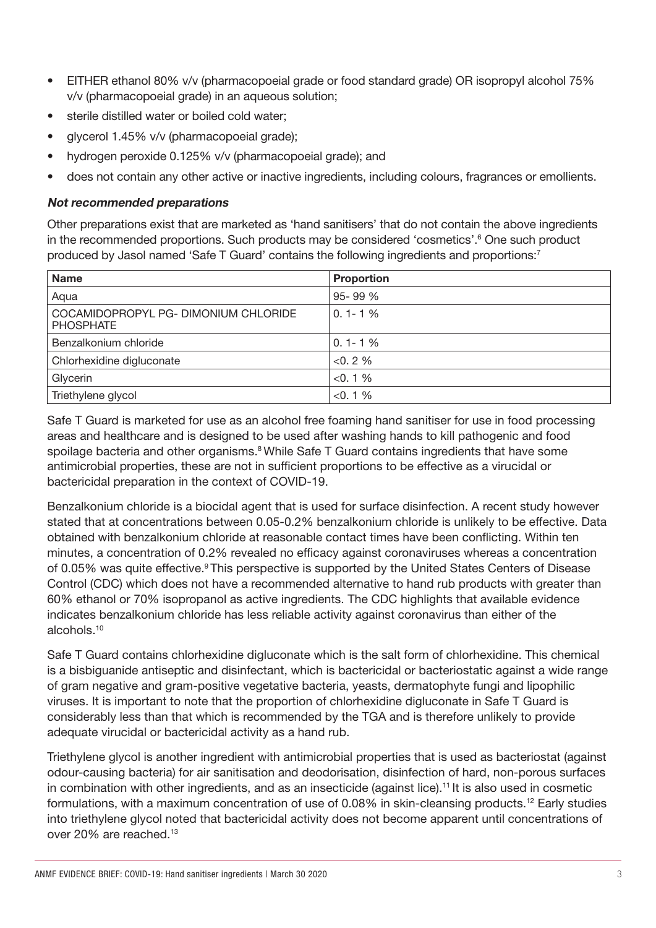- EITHER ethanol 80% v/v (pharmacopoeial grade or food standard grade) OR isopropyl alcohol 75% v/v (pharmacopoeial grade) in an aqueous solution;
- sterile distilled water or boiled cold water;
- glycerol 1.45% v/v (pharmacopoeial grade);
- hydrogen peroxide 0.125% v/v (pharmacopoeial grade); and
- does not contain any other active or inactive ingredients, including colours, fragrances or emollients.

#### Not recommended preparations

Other preparations exist that are marketed as 'hand sanitisers' that do not contain the above ingredients in the recommended proportions. Such products may be considered 'cosmetics'.<sup>6</sup> One such product produced by Jasol named 'Safe T Guard' contains the following ingredients and proportions:<sup>7</sup>

| <b>Name</b>                                              | <b>Proportion</b> |
|----------------------------------------------------------|-------------------|
| Aqua                                                     | 95-99 %           |
| COCAMIDOPROPYL PG- DIMONIUM CHLORIDE<br><b>PHOSPHATE</b> | $0.1 - 1\%$       |
| Benzalkonium chloride                                    | $0.1 - 1%$        |
| Chlorhexidine digluconate                                | $< 0.2 \%$        |
| Glycerin                                                 | $< 0.1 \%$        |
| Triethylene glycol                                       | $< 0.1 \%$        |

Safe T Guard is marketed for use as an alcohol free foaming hand sanitiser for use in food processing areas and healthcare and is designed to be used after washing hands to kill pathogenic and food spoilage bacteria and other organisms.<sup>8</sup> While Safe T Guard contains ingredients that have some antimicrobial properties, these are not in sufficient proportions to be effective as a virucidal or bactericidal preparation in the context of COVID-19.

Benzalkonium chloride is a biocidal agent that is used for surface disinfection. A recent study however stated that at concentrations between 0.05-0.2% benzalkonium chloride is unlikely to be effective. Data obtained with benzalkonium chloride at reasonable contact times have been conflicting. Within ten minutes, a concentration of 0.2% revealed no efficacy against coronaviruses whereas a concentration of 0.05% was quite effective.<sup>9</sup> This perspective is supported by the United States Centers of Disease Control (CDC) which does not have a recommended alternative to hand rub products with greater than 60% ethanol or 70% isopropanol as active ingredients. The CDC highlights that available evidence indicates benzalkonium chloride has less reliable activity against coronavirus than either of the alcohols.10

Safe T Guard contains chlorhexidine digluconate which is the salt form of chlorhexidine. This chemical is a bisbiguanide antiseptic and disinfectant, which is bactericidal or bacteriostatic against a wide range of gram negative and gram-positive vegetative bacteria, yeasts, dermatophyte fungi and lipophilic viruses. It is important to note that the proportion of chlorhexidine digluconate in Safe T Guard is considerably less than that which is recommended by the TGA and is therefore unlikely to provide adequate virucidal or bactericidal activity as a hand rub.

Triethylene glycol is another ingredient with antimicrobial properties that is used as bacteriostat (against odour-causing bacteria) for air sanitisation and deodorisation, disinfection of hard, non-porous surfaces in combination with other ingredients, and as an insecticide (against lice).<sup>11</sup> It is also used in cosmetic formulations, with a maximum concentration of use of 0.08% in skin-cleansing products.12 Early studies into triethylene glycol noted that bactericidal activity does not become apparent until concentrations of over 20% are reached.<sup>13</sup>